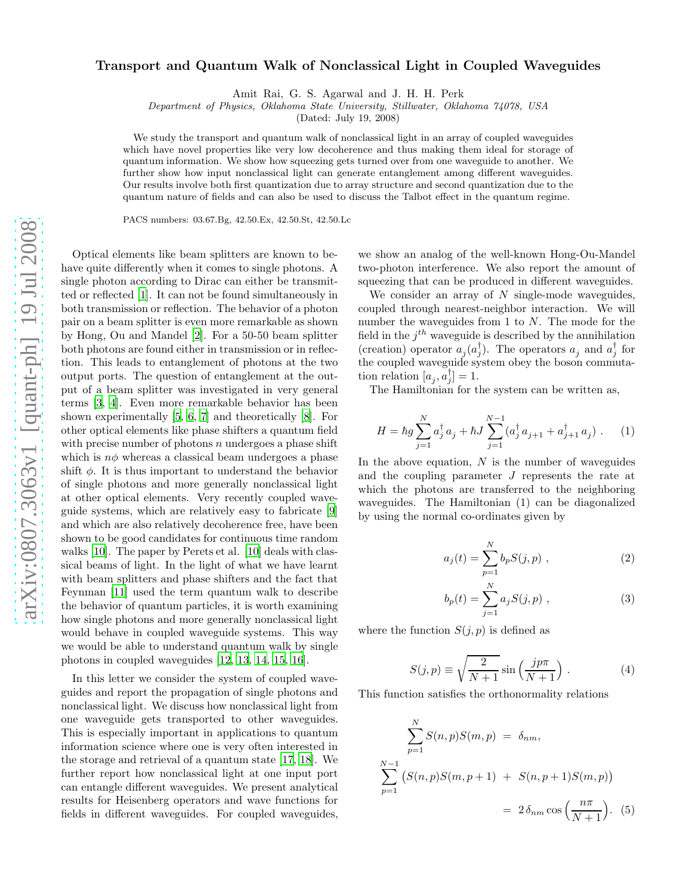## Transport and Quantum Walk of Nonclassical Light in Coupled Waveguides

Amit Rai, G. S. Agarwal and J. H. H. Perk

Department of Physics, Oklahoma State University, Stillwater, Oklahoma 74078, USA

(Dated: July 19, 2008)

We study the transport and quantum walk of nonclassical light in an array of coupled waveguides which have novel properties like very low decoherence and thus making them ideal for storage of quantum information. We show how squeezing gets turned over from one waveguide to another. We further show how input nonclassical light can generate entanglement among different waveguides. Our results involve both first quantization due to array structure and second quantization due to the quantum nature of fields and can also be used to discuss the Talbot effect in the quantum regime.

PACS numbers: 03.67.Bg, 42.50.Ex, 42.50.St, 42.50.Lc

Optical elements like beam splitters are known to behave quite differently when it comes to single photons. A single photon according to Dirac can either be transmitted or reflected [\[1](#page-3-0)]. It can not be found simultaneously in both transmission or reflection. The behavior of a photon pair on a beam splitter is even more remarkable as shown by Hong, Ou and Mandel [\[2](#page-3-1)]. For a 50-50 beam splitter both photons are found either in transmission or in reflection. This leads to entanglement of photons at the two output ports. The question of entanglement at the output of a beam splitter was investigated in very general terms [\[3](#page-3-2), [4](#page-3-3)]. Even more remarkable behavior has been shown experimentally [\[5,](#page-3-4) [6](#page-3-5), [7\]](#page-3-6) and theoretically [\[8\]](#page-3-7). For other optical elements like phase shifters a quantum field with precise number of photons  $n$  undergoes a phase shift which is  $n\phi$  whereas a classical beam undergoes a phase shift  $\phi$ . It is thus important to understand the behavior of single photons and more generally nonclassical light at other optical elements. Very recently coupled waveguide systems, which are relatively easy to fabricate [\[9](#page-3-8)] and which are also relatively decoherence free, have been shown to be good candidates for continuous time random walks [\[10\]](#page-3-9). The paper by Perets et al. [\[10\]](#page-3-9) deals with classical beams of light. In the light of what we have learnt with beam splitters and phase shifters and the fact that Feynman [\[11\]](#page-3-10) used the term quantum walk to describe the behavior of quantum particles, it is worth examining how single photons and more generally nonclassical light would behave in coupled waveguide systems. This way we would be able to understand quantum walk by single photons in coupled waveguides [\[12](#page-3-11), [13](#page-3-12), [14](#page-3-13), [15](#page-3-14), [16](#page-3-15)].

In this letter we consider the system of coupled waveguides and report the propagation of single photons and nonclassical light. We discuss how nonclassical light from one waveguide gets transported to other waveguides. This is especially important in applications to quantum information science where one is very often interested in the storage and retrieval of a quantum state [\[17,](#page-3-16) [18\]](#page-3-17). We further report how nonclassical light at one input port can entangle different waveguides. We present analytical results for Heisenberg operators and wave functions for fields in different waveguides. For coupled waveguides,

we show an analog of the well-known Hong-Ou-Mandel two-photon interference. We also report the amount of squeezing that can be produced in different waveguides.

We consider an array of  $N$  single-mode waveguides, coupled through nearest-neighbor interaction. We will number the waveguides from 1 to N. The mode for the field in the  $j^{th}$  waveguide is described by the annihilation (creation) operator  $a_j(a_j^{\dagger})$ . The operators  $a_j$  and  $a_j^{\dagger}$  for the coupled waveguide system obey the boson commutation relation  $[a_j, a_j^{\dagger}] = 1$ .

The Hamiltonian for the system can be written as,

$$
H = \hbar g \sum_{j=1}^{N} a_j^{\dagger} a_j + \hbar J \sum_{j=1}^{N-1} (a_j^{\dagger} a_{j+1} + a_{j+1}^{\dagger} a_j) \ . \tag{1}
$$

In the above equation,  $N$  is the number of waveguides and the coupling parameter J represents the rate at which the photons are transferred to the neighboring waveguides. The Hamiltonian (1) can be diagonalized by using the normal co-ordinates given by

$$
a_j(t) = \sum_{p=1}^{N} b_p S(j, p) , \qquad (2)
$$

$$
b_p(t) = \sum_{j=1}^{N} a_j S(j, p) , \qquad (3)
$$

where the function  $S(j, p)$  is defined as

N

$$
S(j,p) \equiv \sqrt{\frac{2}{N+1}} \sin\left(\frac{j p \pi}{N+1}\right). \tag{4}
$$

This function satisfies the orthonormality relations

$$
\sum_{p=1}^{N} S(n, p)S(m, p) = \delta_{nm},
$$
\n
$$
\sum_{p=1}^{N-1} (S(n, p)S(m, p+1) + S(n, p+1)S(m, p))
$$
\n
$$
= 2 \delta_{nm} \cos \left(\frac{n\pi}{N+1}\right). \tag{5}
$$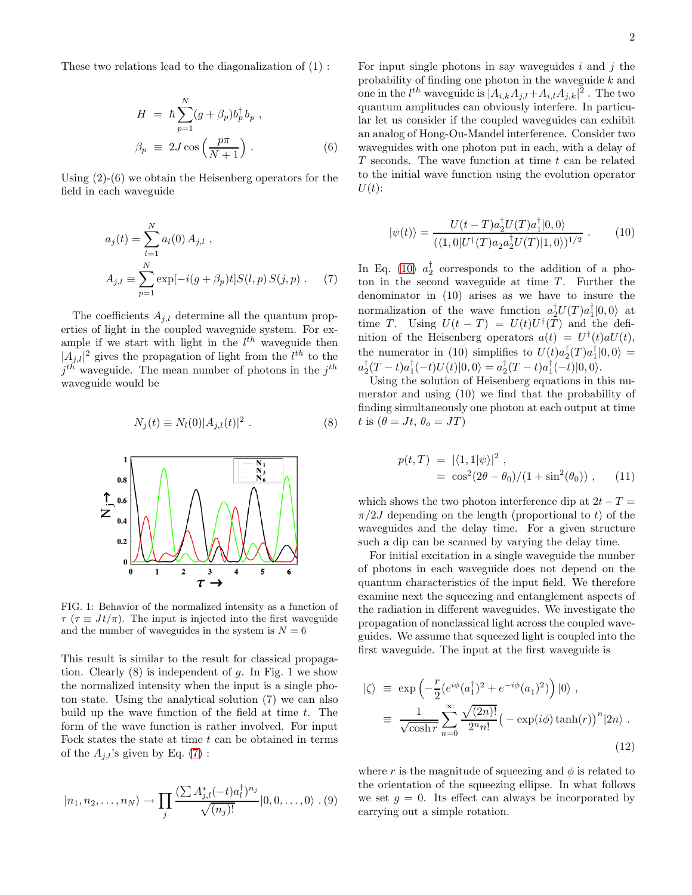These two relations lead to the diagonalization of (1) :

$$
H = \hbar \sum_{p=1}^{N} (g + \beta_p) b_p^{\dagger} b_p ,
$$
  

$$
\beta_p \equiv 2J \cos \left( \frac{p \pi}{N+1} \right) .
$$
 (6)

Using (2)-(6) we obtain the Heisenberg operators for the field in each waveguide

<span id="page-1-0"></span>
$$
a_j(t) = \sum_{l=1}^{N} a_l(0) A_{j,l} ,
$$
  
\n
$$
A_{j,l} \equiv \sum_{p=1}^{N} \exp[-i(g + \beta_p)t] S(l, p) S(j, p) .
$$
 (7)

The coefficients  $A_{j,l}$  determine all the quantum properties of light in the coupled waveguide system. For example if we start with light in the  $l^{th}$  waveguide then  $|A_{j,l}|^2$  gives the propagation of light from the  $l^{th}$  to the  $j<sup>th</sup>$  waveguide. The mean number of photons in the  $j<sup>th</sup>$ waveguide would be

$$
N_j(t) \equiv N_l(0)|A_{j,l}(t)|^2 . \tag{8}
$$



FIG. 1: Behavior of the normalized intensity as a function of  $\tau$  ( $\tau \equiv J t / \pi$ ). The input is injected into the first waveguide and the number of waveguides in the system is  $N = 6$ 

This result is similar to the result for classical propagation. Clearly  $(8)$  is independent of g. In Fig. 1 we show the normalized intensity when the input is a single photon state. Using the analytical solution (7) we can also build up the wave function of the field at time  $t$ . The form of the wave function is rather involved. For input Fock states the state at time  $t$  can be obtained in terms of the  $A_{i,l}$ 's given by Eq. [\(7\)](#page-1-0):

$$
|n_1, n_2, \dots, n_N\rangle \to \prod_j \frac{(\sum A_{j,l}^*(-t)a_l^{\dagger})^{n_j}}{\sqrt{(n_j)!}} |0, 0, \dots, 0\rangle . (9)
$$

For input single photons in say waveguides  $i$  and  $j$  the probability of finding one photon in the waveguide  $k$  and one in the  $l^{th}$  waveguide is  $|A_{i,k}A_{j,l}+A_{i,l}A_{j,k}|^2$ . The two quantum amplitudes can obviously interfere. In particular let us consider if the coupled waveguides can exhibit an analog of Hong-Ou-Mandel interference. Consider two waveguides with one photon put in each, with a delay of  $T$  seconds. The wave function at time  $t$  can be related to the initial wave function using the evolution operator  $U(t)$ :

<span id="page-1-1"></span>
$$
|\psi(t)\rangle = \frac{U(t - T)a_2^{\dagger}U(T)a_1^{\dagger}|0,0\rangle}{(\langle 1,0|U^{\dagger}(T)a_2a_2^{\dagger}U(T)|1,0\rangle)^{1/2}}.
$$
 (10)

In Eq. [\(10\)](#page-1-1)  $a_2^{\dagger}$  corresponds to the addition of a photon in the second waveguide at time  $T$ . Further the denominator in (10) arises as we have to insure the normalization of the wave function  $a_2^{\dagger}U(T)a_1^{\dagger}|0,0\rangle$  at time T. Using  $U(t-T) = U(t)U^{\dagger}(T)$  and the definition of the Heisenberg operators  $a(t) = U^{\dagger}(t)aU(t)$ , the numerator in (10) simplifies to  $U(t)a_2^{\dagger}(T)a_1^{\dagger}|0,0\rangle =$  $a_2^{\dagger}(T-t)a_1^{\dagger}(-t)U(t)|0,0\rangle = a_2^{\dagger}(T-t)a_1^{\dagger}(-t)|0,0\rangle.$ 

Using the solution of Heisenberg equations in this numerator and using (10) we find that the probability of finding simultaneously one photon at each output at time t is  $(\theta = Jt, \theta_o = JT)$ 

$$
p(t,T) = |\langle 1, 1 | \psi \rangle|^2 ,
$$
  
=  $\cos^2(2\theta - \theta_0)/(1 + \sin^2(\theta_0)) ,$  (11)

which shows the two photon interference dip at  $2t - T =$  $\pi/2J$  depending on the length (proportional to t) of the waveguides and the delay time. For a given structure such a dip can be scanned by varying the delay time.

For initial excitation in a single waveguide the number of photons in each waveguide does not depend on the quantum characteristics of the input field. We therefore examine next the squeezing and entanglement aspects of the radiation in different waveguides. We investigate the propagation of nonclassical light across the coupled waveguides. We assume that squeezed light is coupled into the first waveguide. The input at the first waveguide is

$$
|\zeta\rangle \equiv \exp\left(-\frac{r}{2}(e^{i\phi}(a_1^{\dagger})^2 + e^{-i\phi}(a_1)^2)\right)|0\rangle ,
$$
  

$$
\equiv \frac{1}{\sqrt{\cosh r}} \sum_{n=0}^{\infty} \frac{\sqrt{(2n)!}}{2^n n!} \left(-\exp(i\phi)\tanh(r)\right)^n |2n\rangle .
$$
 (12)

where r is the magnitude of squeezing and  $\phi$  is related to the orientation of the squeezing ellipse. In what follows we set  $q = 0$ . Its effect can always be incorporated by carrying out a simple rotation.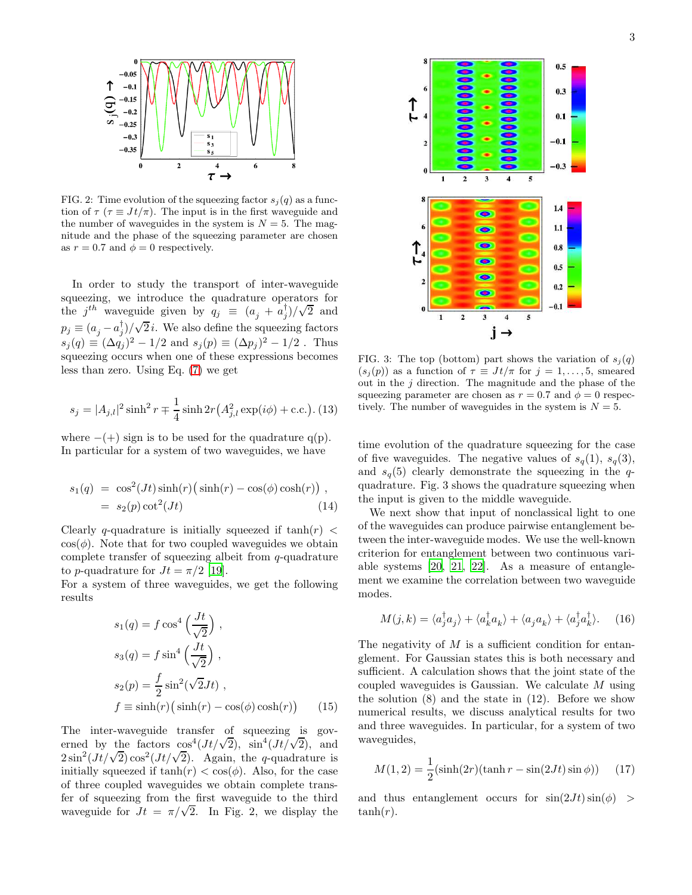

FIG. 2: Time evolution of the squeezing factor  $s_i(q)$  as a function of  $\tau$  ( $\tau \equiv J t / \pi$ ). The input is in the first waveguide and the number of waveguides in the system is  $N = 5$ . The magnitude and the phase of the squeezing parameter are chosen as  $r = 0.7$  and  $\phi = 0$  respectively.

In order to study the transport of inter-waveguide squeezing, we introduce the quadrature operators for the  $j^{th}$  waveguide given by  $q_j \equiv (a_j + a_j^{\dagger})/\sqrt{2}$  and  $p_j \equiv (a_j - a_j^{\dagger})/\sqrt{2}i$ . We also define the squeezing factors  $s_j(q) \equiv (\Delta q_j)^2 - 1/2$  and  $s_j(p) \equiv (\Delta p_j)^2 - 1/2$ . Thus squeezing occurs when one of these expressions becomes less than zero. Using Eq. [\(7\)](#page-1-0) we get

$$
s_j = |A_{j,l}|^2 \sinh^2 r \mp \frac{1}{4} \sinh 2r (A_{j,l}^2 \exp(i\phi) + \text{c.c.}).
$$
 (13)

where  $-(+)$  sign is to be used for the quadrature q(p). In particular for a system of two waveguides, we have

$$
s_1(q) = \cos^2(Jt)\sinh(r)(\sinh(r) - \cos(\phi)\cosh(r)),
$$
  
=  $s_2(p)\cot^2(Jt)$  (14)

Clearly q-quadrature is initially squeezed if  $tanh(r)$  <  $\cos(\phi)$ . Note that for two coupled waveguides we obtain complete transfer of squeezing albeit from  $q$ -quadrature to p-quadrature for  $Jt = \pi/2$  [\[19\]](#page-3-18).

For a system of three waveguides, we get the following results

$$
s_1(q) = f \cos^4\left(\frac{Jt}{\sqrt{2}}\right),
$$
  
\n
$$
s_3(q) = f \sin^4\left(\frac{Jt}{\sqrt{2}}\right),
$$
  
\n
$$
s_2(p) = \frac{f}{2} \sin^2(\sqrt{2}Jt),
$$
  
\n
$$
f \equiv \sinh(r) \big(\sinh(r) - \cos(\phi)\cosh(r)\big) \qquad (15)
$$

The inter-waveguide transfer of squeezing is governed by the factors  $\cos^4(Jt/\sqrt{2})$ ,  $\sin^4(Jt/\sqrt{2})$ , and  $2\sin^2(Jt/\sqrt{2})\cos^2(Jt/\sqrt{2})$ . Again, the q-quadrature is initially squeezed if  $tanh(r) < cos(\phi)$ . Also, for the case of three coupled waveguides we obtain complete transfer of squeezing from the first waveguide to the third waveguide for  $Jt = \pi/\sqrt{2}$ . In Fig. 2, we display the



FIG. 3: The top (bottom) part shows the variation of  $s_j(q)$  $(s_j(p))$  as a function of  $\tau \equiv J t/\pi$  for  $j = 1, \ldots, 5$ , smeared out in the  $j$  direction. The magnitude and the phase of the squeezing parameter are chosen as  $r = 0.7$  and  $\phi = 0$  respectively. The number of waveguides in the system is  $N = 5$ .

time evolution of the quadrature squeezing for the case of five waveguides. The negative values of  $s_q(1)$ ,  $s_q(3)$ , and  $s_q(5)$  clearly demonstrate the squeezing in the qquadrature. Fig. 3 shows the quadrature squeezing when the input is given to the middle waveguide.

We next show that input of nonclassical light to one of the waveguides can produce pairwise entanglement between the inter-waveguide modes. We use the well-known criterion for entanglement between two continuous variable systems [\[20](#page-3-19), [21](#page-3-20), [22\]](#page-3-21). As a measure of entanglement we examine the correlation between two waveguide modes.

$$
M(j,k) = \langle a_j^{\dagger} a_j \rangle + \langle a_k^{\dagger} a_k \rangle + \langle a_j a_k \rangle + \langle a_j^{\dagger} a_k^{\dagger} \rangle. \tag{16}
$$

The negativity of  $M$  is a sufficient condition for entanglement. For Gaussian states this is both necessary and sufficient. A calculation shows that the joint state of the coupled waveguides is Gaussian. We calculate M using the solution (8) and the state in (12). Before we show numerical results, we discuss analytical results for two and three waveguides. In particular, for a system of two waveguides,

$$
M(1,2) = \frac{1}{2} \left( \sinh(2r) (\tanh r - \sin(2Jt) \sin \phi) \right) \tag{17}
$$

and thus entanglement occurs for  $\sin(2Jt)\sin(\phi)$  $tanh(r)$ .